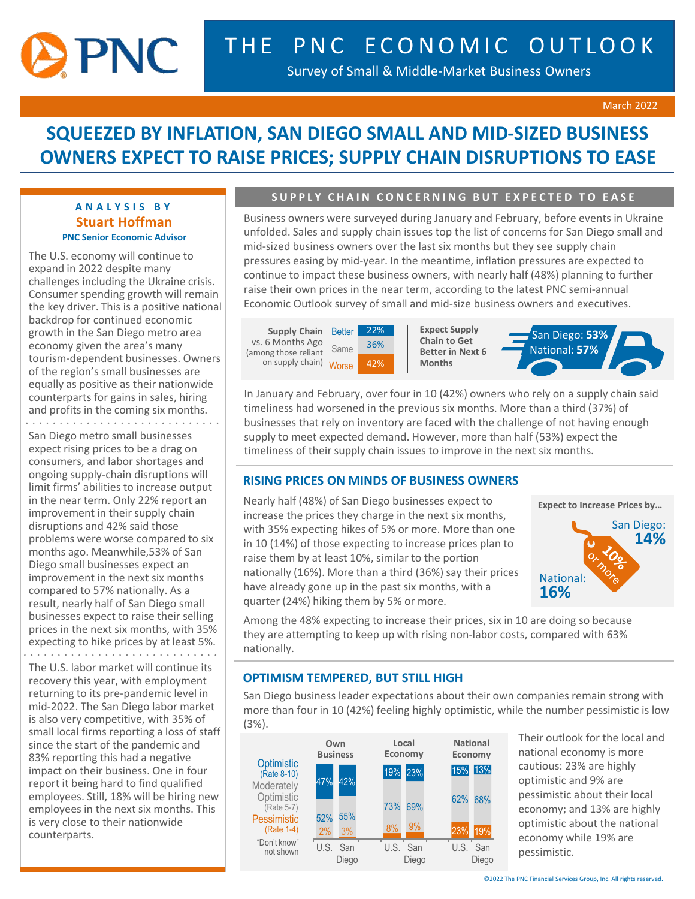

Survey of Small & Middle-Market Business Owners

#### March 2022

# **SQUEEZED BY INFLATION, SAN DIEGO SMALL AND MID-SIZED BUSINESS OWNERS EXPECT TO RAISE PRICES; SUPPLY CHAIN DISRUPTIONS TO EASE**

#### **A N A L Y S I S B Y Stuart Hoffman PNC Senior Economic Advisor**

The U.S. economy will continue to expand in 2022 despite many challenges including the Ukraine crisis. Consumer spending growth will remain the key driver. This is a positive national backdrop for continued economic growth in the San Diego metro area economy given the area's many tourism-dependent businesses. Owners of the region's small businesses are equally as positive as their nationwide counterparts for gains in sales, hiring and profits in the coming six months.

San Diego metro small businesses expect rising prices to be a drag on consumers, and labor shortages and ongoing supply-chain disruptions will limit firms' abilities to increase output in the near term. Only 22% report an improvement in their supply chain disruptions and 42% said those problems were worse compared to six months ago. Meanwhile,53% of San Diego small businesses expect an improvement in the next six months compared to 57% nationally. As a result, nearly half of San Diego small businesses expect to raise their selling prices in the next six months, with 35% expecting to hike prices by at least 5%.

The U.S. labor market will continue its recovery this year, with employment returning to its pre-pandemic level in mid-2022. The San Diego labor market is also very competitive, with 35% of small local firms reporting a loss of staff since the start of the pandemic and 83% reporting this had a negative impact on their business. One in four report it being hard to find qualified employees. Still, 18% will be hiring new employees in the next six months. This is very close to their nationwide counterparts.

## **SUPPLY CHAIN CONCERNING BUT EXPECTED TO EASE**

Business owners were surveyed during January and February, before events in Ukraine unfolded. Sales and supply chain issues top the list of concerns for San Diego small and mid-sized business owners over the last six months but they see supply chain pressures easing by mid-year. In the meantime, inflation pressures are expected to continue to impact these business owners, with nearly half (48%) planning to further raise their own prices in the near term, according to the latest PNC semi-annual Economic Outlook survey of small and mid-size business owners and executives.

**Supply Chain** Better Same on supply chain) Worse 42% vs. 6 Months Ago (among those reliant



**Expect Supply Chain to Get Better in Next 6 Months**



In January and February, over four in 10 (42%) owners who rely on a supply chain said timeliness had worsened in the previous six months. More than a third (37%) of businesses that rely on inventory are faced with the challenge of not having enough supply to meet expected demand. However, more than half (53%) expect the timeliness of their supply chain issues to improve in the next six months.

### **RISING PRICES ON MINDS OF BUSINESS OWNERS**

Nearly half (48%) of San Diego businesses expect to increase the prices they charge in the next six months, with 35% expecting hikes of 5% or more. More than one in 10 (14%) of those expecting to increase prices plan to raise them by at least 10%, similar to the portion nationally (16%). More than a third (36%) say their prices have already gone up in the past six months, with a quarter (24%) hiking them by 5% or more.



Among the 48% expecting to increase their prices, six in 10 are doing so because they are attempting to keep up with rising non-labor costs, compared with 63% nationally.

### **OPTIMISM TEMPERED, BUT STILL HIGH**

San Diego business leader expectations about their own companies remain strong with more than four in 10 (42%) feeling highly optimistic, while the number pessimistic is low (3%).

|                                         | Own<br><b>Business</b> | Local<br><b>Economy</b> | <b>National</b><br>Economy |
|-----------------------------------------|------------------------|-------------------------|----------------------------|
| Optimistic<br>(Rate 8-10)<br>Moderately | 42%<br>47%             | 19%<br>23%              | 13%<br>15%                 |
| Optimistic<br>Rate 5-7)<br>Pessimistic  | 55%<br>52%             | 73%<br>69%              | 62%<br>68%                 |
| (Rate 1-4)                              | 3%<br>2%               | 9%<br>8%                | 23%<br>19%                 |
| "Don't know"<br>not shown               | U.S.<br>San<br>Diego   | U.S. San<br>Diego       | U.S.<br>San<br>Diego       |

Their outlook for the local and national economy is more cautious: 23% are highly optimistic and 9% are pessimistic about their local economy; and 13% are highly optimistic about the national economy while 19% are pessimistic.